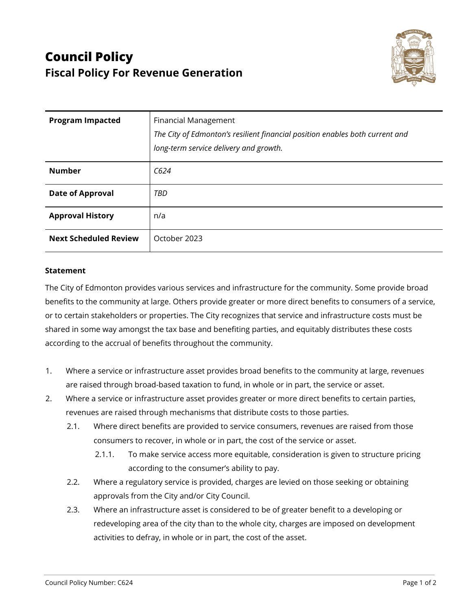

| <b>Program Impacted</b>      | <b>Financial Management</b><br>The City of Edmonton's resilient financial position enables both current and<br>long-term service delivery and growth. |
|------------------------------|-------------------------------------------------------------------------------------------------------------------------------------------------------|
| <b>Number</b>                | C624                                                                                                                                                  |
| <b>Date of Approval</b>      | TBD                                                                                                                                                   |
| <b>Approval History</b>      | n/a                                                                                                                                                   |
| <b>Next Scheduled Review</b> | October 2023                                                                                                                                          |

## **Statement**

The City of Edmonton provides various services and infrastructure for the community. Some provide broad benefits to the community at large. Others provide greater or more direct benefits to consumers of a service, or to certain stakeholders or properties. The City recognizes that service and infrastructure costs must be shared in some way amongst the tax base and benefiting parties, and equitably distributes these costs according to the accrual of benefits throughout the community.

- 1. Where a service or infrastructure asset provides broad benefits to the community at large, revenues are raised through broad-based taxation to fund, in whole or in part, the service or asset.
- 2. Where a service or infrastructure asset provides greater or more direct benefits to certain parties, revenues are raised through mechanisms that distribute costs to those parties.
	- 2.1. Where direct benefits are provided to service consumers, revenues are raised from those consumers to recover, in whole or in part, the cost of the service or asset.
		- 2.1.1. To make service access more equitable, consideration is given to structure pricing according to the consumer's ability to pay.
	- 2.2. Where a regulatory service is provided, charges are levied on those seeking or obtaining approvals from the City and/or City Council.
	- 2.3. Where an infrastructure asset is considered to be of greater benefit to a developing or redeveloping area of the city than to the whole city, charges are imposed on development activities to defray, in whole or in part, the cost of the asset.